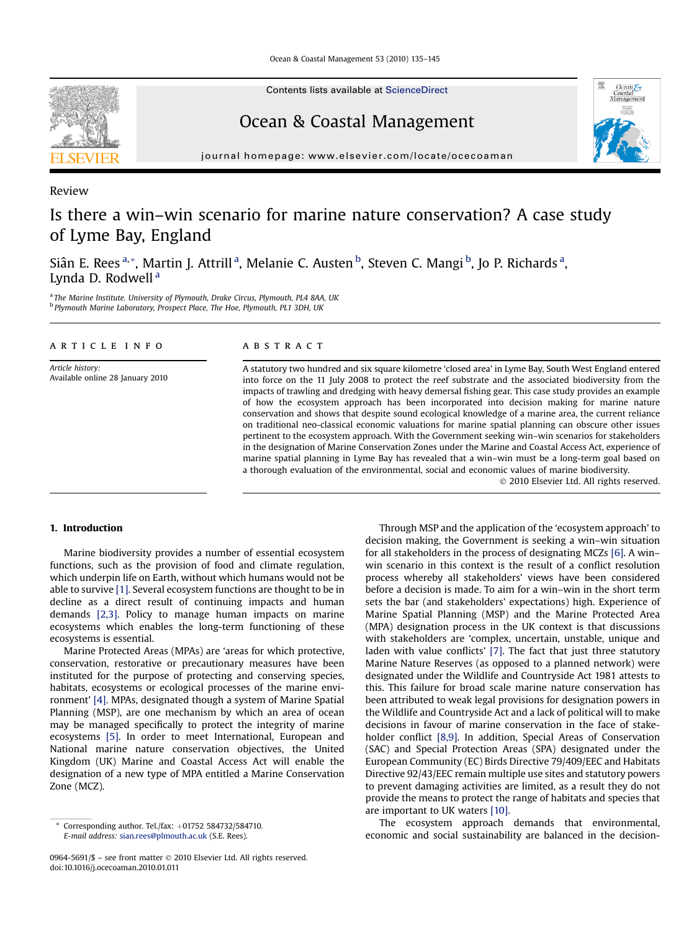

Contents lists available at [ScienceDirect](www.sciencedirect.com/science/journal/09645691)

# Ocean & Coastal Management



journal homepage: [www.elsevier.com/locate/ocecoaman](http://www.elsevier.com/locate/ocecoaman)

# Review

# Is there a win–win scenario for marine nature conservation? A case study of Lyme Bay, England

Siân E. Rees<sup>a,</sup>\*, Martin J. Attrill<sup>a</sup>, Melanie C. Austen <sup>b</sup>, Steven C. Mangi <sup>b</sup>, Jo P. Richards <sup>a</sup>, Lynda D. Rodwell<sup>a</sup>

a The Marine Institute. University of Plymouth, Drake Circus, Plymouth, PL4 8AA, UK b Plymouth Marine Laboratory, Prospect Place, The Hoe, Plymouth, PL1 3DH, UK

## article info

Article history: Available online 28 January 2010

## **ABSTRACT**

A statutory two hundred and six square kilometre 'closed area' in Lyme Bay, South West England entered into force on the 11 July 2008 to protect the reef substrate and the associated biodiversity from the impacts of trawling and dredging with heavy demersal fishing gear. This case study provides an example of how the ecosystem approach has been incorporated into decision making for marine nature conservation and shows that despite sound ecological knowledge of a marine area, the current reliance on traditional neo-classical economic valuations for marine spatial planning can obscure other issues pertinent to the ecosystem approach. With the Government seeking win–win scenarios for stakeholders in the designation of Marine Conservation Zones under the Marine and Coastal Access Act, experience of marine spatial planning in Lyme Bay has revealed that a win–win must be a long-term goal based on a thorough evaluation of the environmental, social and economic values of marine biodiversity.

- 2010 Elsevier Ltd. All rights reserved.

# 1. Introduction

Marine biodiversity provides a number of essential ecosystem functions, such as the provision of food and climate regulation, which underpin life on Earth, without which humans would not be able to survive [\[1\]](#page-9-0). Several ecosystem functions are thought to be in decline as a direct result of continuing impacts and human demands [\[2,3\].](#page-9-0) Policy to manage human impacts on marine ecosystems which enables the long-term functioning of these ecosystems is essential.

Marine Protected Areas (MPAs) are 'areas for which protective, conservation, restorative or precautionary measures have been instituted for the purpose of protecting and conserving species, habitats, ecosystems or ecological processes of the marine environment' [\[4\]](#page-9-0). MPAs, designated though a system of Marine Spatial Planning (MSP), are one mechanism by which an area of ocean may be managed specifically to protect the integrity of marine ecosystems [\[5\]](#page-9-0). In order to meet International, European and National marine nature conservation objectives, the United Kingdom (UK) Marine and Coastal Access Act will enable the designation of a new type of MPA entitled a Marine Conservation Zone (MCZ).

Through MSP and the application of the 'ecosystem approach' to decision making, the Government is seeking a win–win situation for all stakeholders in the process of designating MCZs [\[6\]](#page-9-0). A win– win scenario in this context is the result of a conflict resolution process whereby all stakeholders' views have been considered before a decision is made. To aim for a win–win in the short term sets the bar (and stakeholders' expectations) high. Experience of Marine Spatial Planning (MSP) and the Marine Protected Area (MPA) designation process in the UK context is that discussions with stakeholders are 'complex, uncertain, unstable, unique and laden with value conflicts' [\[7\]](#page-9-0). The fact that just three statutory Marine Nature Reserves (as opposed to a planned network) were designated under the Wildlife and Countryside Act 1981 attests to this. This failure for broad scale marine nature conservation has been attributed to weak legal provisions for designation powers in the Wildlife and Countryside Act and a lack of political will to make decisions in favour of marine conservation in the face of stakeholder conflict [\[8,9\].](#page-9-0) In addition, Special Areas of Conservation (SAC) and Special Protection Areas (SPA) designated under the European Community (EC) Birds Directive 79/409/EEC and Habitats Directive 92/43/EEC remain multiple use sites and statutory powers to prevent damaging activities are limited, as a result they do not provide the means to protect the range of habitats and species that are important to UK waters [\[10\].](#page-9-0)

The ecosystem approach demands that environmental, economic and social sustainability are balanced in the decision-

Corresponding author. Tel./fax:  $+01752584732/584710$ . E-mail address: [sian.rees@plmouth.ac.uk](mailto:sian.rees@plmouth.ac.uk) (S.E. Rees).

<sup>0964-5691/\$ –</sup> see front matter © 2010 Elsevier Ltd. All rights reserved. doi:10.1016/j.ocecoaman.2010.01.011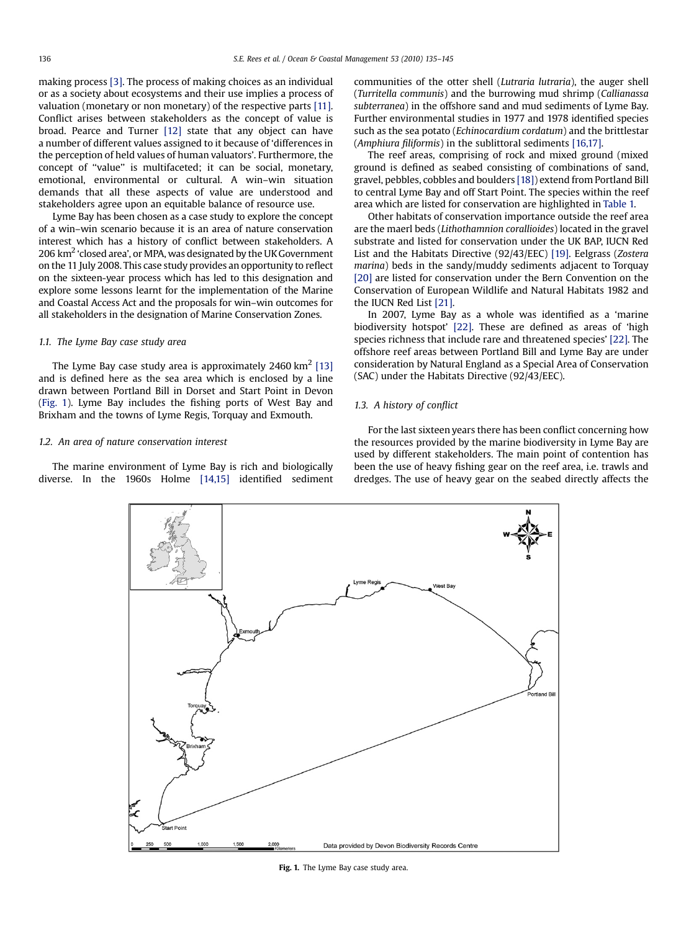making process [\[3\]](#page-9-0). The process of making choices as an individual or as a society about ecosystems and their use implies a process of valuation (monetary or non monetary) of the respective parts [\[11\].](#page-9-0) Conflict arises between stakeholders as the concept of value is broad. Pearce and Turner [\[12\]](#page-9-0) state that any object can have a number of different values assigned to it because of 'differences in the perception of held values of human valuators'. Furthermore, the concept of ''value'' is multifaceted; it can be social, monetary, emotional, environmental or cultural. A win–win situation demands that all these aspects of value are understood and stakeholders agree upon an equitable balance of resource use.

Lyme Bay has been chosen as a case study to explore the concept of a win–win scenario because it is an area of nature conservation interest which has a history of conflict between stakeholders. A 206 km<sup>2</sup> 'closed area', or MPA, was designated by the UK Government on the 11 July 2008. This case study provides an opportunity to reflect on the sixteen-year process which has led to this designation and explore some lessons learnt for the implementation of the Marine and Coastal Access Act and the proposals for win–win outcomes for all stakeholders in the designation of Marine Conservation Zones.

# 1.1. The Lyme Bay case study area

The Lyme Bay case study area is approximately  $2460 \text{ km}^2$  [\[13\]](#page-9-0) and is defined here as the sea area which is enclosed by a line drawn between Portland Bill in Dorset and Start Point in Devon (Fig. 1). Lyme Bay includes the fishing ports of West Bay and Brixham and the towns of Lyme Regis, Torquay and Exmouth.

## 1.2. An area of nature conservation interest

The marine environment of Lyme Bay is rich and biologically diverse. In the 1960s Holme [\[14,15\]](#page-9-0) identified sediment communities of the otter shell (Lutraria lutraria), the auger shell (Turritella communis) and the burrowing mud shrimp (Callianassa subterranea) in the offshore sand and mud sediments of Lyme Bay. Further environmental studies in 1977 and 1978 identified species such as the sea potato (*Echinocardium cordatum*) and the brittlestar (Amphiura filiformis) in the sublittoral sediments [\[16,17\].](#page-9-0)

The reef areas, comprising of rock and mixed ground (mixed ground is defined as seabed consisting of combinations of sand, gravel, pebbles, cobbles and boulders [\[18\]](#page-9-0)) extend from Portland Bill to central Lyme Bay and off Start Point. The species within the reef area which are listed for conservation are highlighted in [Table 1.](#page-2-0)

Other habitats of conservation importance outside the reef area are the maerl beds (Lithothamnion corallioides) located in the gravel substrate and listed for conservation under the UK BAP, IUCN Red List and the Habitats Directive (92/43/EEC) [\[19\].](#page-9-0) Eelgrass (Zostera marina) beds in the sandy/muddy sediments adjacent to Torquay [\[20\]](#page-9-0) are listed for conservation under the Bern Convention on the Conservation of European Wildlife and Natural Habitats 1982 and the IUCN Red List [\[21\].](#page-10-0)

In 2007, Lyme Bay as a whole was identified as a 'marine biodiversity hotspot' [\[22\].](#page-10-0) These are defined as areas of 'high species richness that include rare and threatened species' [\[22\].](#page-10-0) The offshore reef areas between Portland Bill and Lyme Bay are under consideration by Natural England as a Special Area of Conservation (SAC) under the Habitats Directive (92/43/EEC).

## 1.3. A history of conflict

For the last sixteen years there has been conflict concerning how the resources provided by the marine biodiversity in Lyme Bay are used by different stakeholders. The main point of contention has been the use of heavy fishing gear on the reef area, i.e. trawls and dredges. The use of heavy gear on the seabed directly affects the



Fig. 1. The Lyme Bay case study area.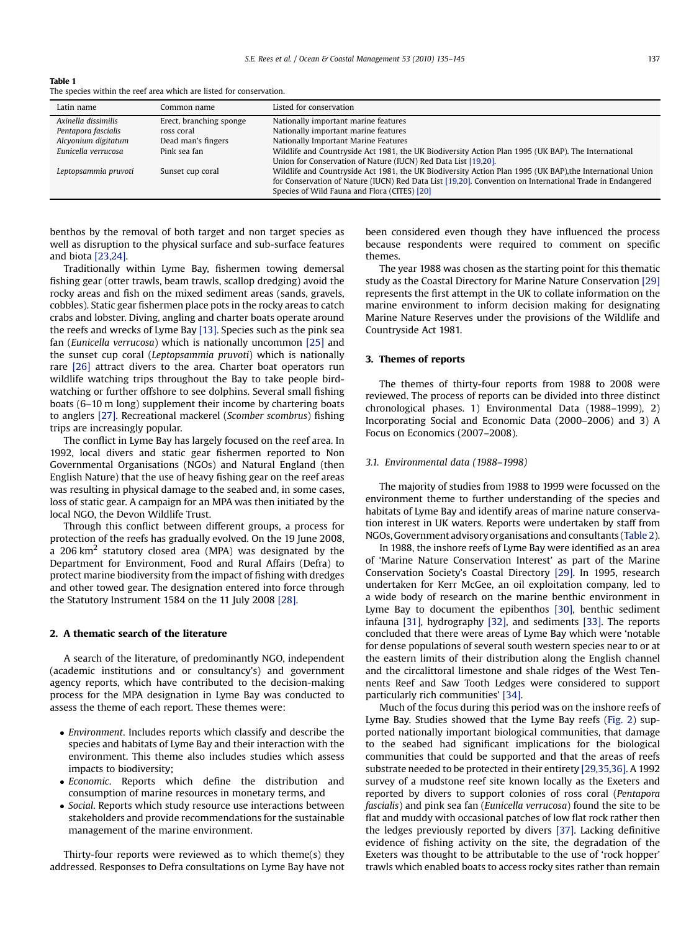<span id="page-2-0"></span>

| Table 1                                                             |
|---------------------------------------------------------------------|
| The species within the reef area which are listed for conservation. |

| Latin name           | Common name             | Listed for conservation                                                                                   |
|----------------------|-------------------------|-----------------------------------------------------------------------------------------------------------|
| Axinella dissimilis  | Erect, branching sponge | Nationally important marine features                                                                      |
| Pentapora fascialis  | ross coral              | Nationally important marine features                                                                      |
| Alcyonium digitatum  | Dead man's fingers      | Nationally Important Marine Features                                                                      |
| Eunicella verrucosa  | Pink sea fan            | Wildlife and Countryside Act 1981, the UK Biodiversity Action Plan 1995 (UK BAP). The International       |
|                      |                         | Union for Conservation of Nature (IUCN) Red Data List [19,20].                                            |
| Leptopsammia pruvoti | Sunset cup coral        | Wildlife and Countryside Act 1981, the UK Biodiversity Action Plan 1995 (UK BAP), the International Union |
|                      |                         | for Conservation of Nature (IUCN) Red Data List [19,20]. Convention on International Trade in Endangered  |
|                      |                         | Species of Wild Fauna and Flora (CITES) [20]                                                              |

benthos by the removal of both target and non target species as well as disruption to the physical surface and sub-surface features and biota [\[23,24\]](#page-10-0).

Traditionally within Lyme Bay, fishermen towing demersal fishing gear (otter trawls, beam trawls, scallop dredging) avoid the rocky areas and fish on the mixed sediment areas (sands, gravels, cobbles). Static gear fishermen place pots in the rocky areas to catch crabs and lobster. Diving, angling and charter boats operate around the reefs and wrecks of Lyme Bay [\[13\].](#page-9-0) Species such as the pink sea fan (Eunicella verrucosa) which is nationally uncommon [\[25\]](#page-10-0) and the sunset cup coral (Leptopsammia pruvoti) which is nationally rare [\[26\]](#page-10-0) attract divers to the area. Charter boat operators run wildlife watching trips throughout the Bay to take people birdwatching or further offshore to see dolphins. Several small fishing boats (6–10 m long) supplement their income by chartering boats to anglers [\[27\].](#page-10-0) Recreational mackerel (Scomber scombrus) fishing trips are increasingly popular.

The conflict in Lyme Bay has largely focused on the reef area. In 1992, local divers and static gear fishermen reported to Non Governmental Organisations (NGOs) and Natural England (then English Nature) that the use of heavy fishing gear on the reef areas was resulting in physical damage to the seabed and, in some cases, loss of static gear. A campaign for an MPA was then initiated by the local NGO, the Devon Wildlife Trust.

Through this conflict between different groups, a process for protection of the reefs has gradually evolved. On the 19 June 2008, a 206 km<sup>2</sup> statutory closed area (MPA) was designated by the Department for Environment, Food and Rural Affairs (Defra) to protect marine biodiversity from the impact of fishing with dredges and other towed gear. The designation entered into force through the Statutory Instrument 1584 on the 11 July 2008 [\[28\]](#page-10-0).

# 2. A thematic search of the literature

A search of the literature, of predominantly NGO, independent (academic institutions and or consultancy's) and government agency reports, which have contributed to the decision-making process for the MPA designation in Lyme Bay was conducted to assess the theme of each report. These themes were:

- *Environment*. Includes reports which classify and describe the species and habitats of Lyme Bay and their interaction with the environment. This theme also includes studies which assess impacts to biodiversity;
- Economic. Reports which define the distribution and consumption of marine resources in monetary terms, and
- Social. Reports which study resource use interactions between stakeholders and provide recommendations for the sustainable management of the marine environment.

Thirty-four reports were reviewed as to which theme(s) they addressed. Responses to Defra consultations on Lyme Bay have not been considered even though they have influenced the process because respondents were required to comment on specific themes.

The year 1988 was chosen as the starting point for this thematic study as the Coastal Directory for Marine Nature Conservation [\[29\]](#page-10-0) represents the first attempt in the UK to collate information on the marine environment to inform decision making for designating Marine Nature Reserves under the provisions of the Wildlife and Countryside Act 1981.

# 3. Themes of reports

The themes of thirty-four reports from 1988 to 2008 were reviewed. The process of reports can be divided into three distinct chronological phases. 1) Environmental Data (1988–1999), 2) Incorporating Social and Economic Data (2000–2006) and 3) A Focus on Economics (2007–2008).

## 3.1. Environmental data (1988–1998)

The majority of studies from 1988 to 1999 were focussed on the environment theme to further understanding of the species and habitats of Lyme Bay and identify areas of marine nature conservation interest in UK waters. Reports were undertaken by staff from NGOs, Government advisory organisations and consultants ([Table 2\)](#page-3-0).

In 1988, the inshore reefs of Lyme Bay were identified as an area of 'Marine Nature Conservation Interest' as part of the Marine Conservation Society's Coastal Directory [\[29\]](#page-10-0). In 1995, research undertaken for Kerr McGee, an oil exploitation company, led to a wide body of research on the marine benthic environment in Lyme Bay to document the epibenthos [\[30\]](#page-10-0), benthic sediment infauna [\[31\],](#page-10-0) hydrography [\[32\]](#page-10-0), and sediments [\[33\]](#page-10-0). The reports concluded that there were areas of Lyme Bay which were 'notable for dense populations of several south western species near to or at the eastern limits of their distribution along the English channel and the circalittoral limestone and shale ridges of the West Tennents Reef and Saw Tooth Ledges were considered to support particularly rich communities' [\[34\].](#page-10-0)

Much of the focus during this period was on the inshore reefs of Lyme Bay. Studies showed that the Lyme Bay reefs ([Fig. 2](#page-4-0)) supported nationally important biological communities, that damage to the seabed had significant implications for the biological communities that could be supported and that the areas of reefs substrate needed to be protected in their entirety [\[29,35,36\]](#page-10-0). A 1992 survey of a mudstone reef site known locally as the Exeters and reported by divers to support colonies of ross coral (Pentapora fascialis) and pink sea fan (Eunicella verrucosa) found the site to be flat and muddy with occasional patches of low flat rock rather then the ledges previously reported by divers [\[37\]](#page-10-0). Lacking definitive evidence of fishing activity on the site, the degradation of the Exeters was thought to be attributable to the use of 'rock hopper' trawls which enabled boats to access rocky sites rather than remain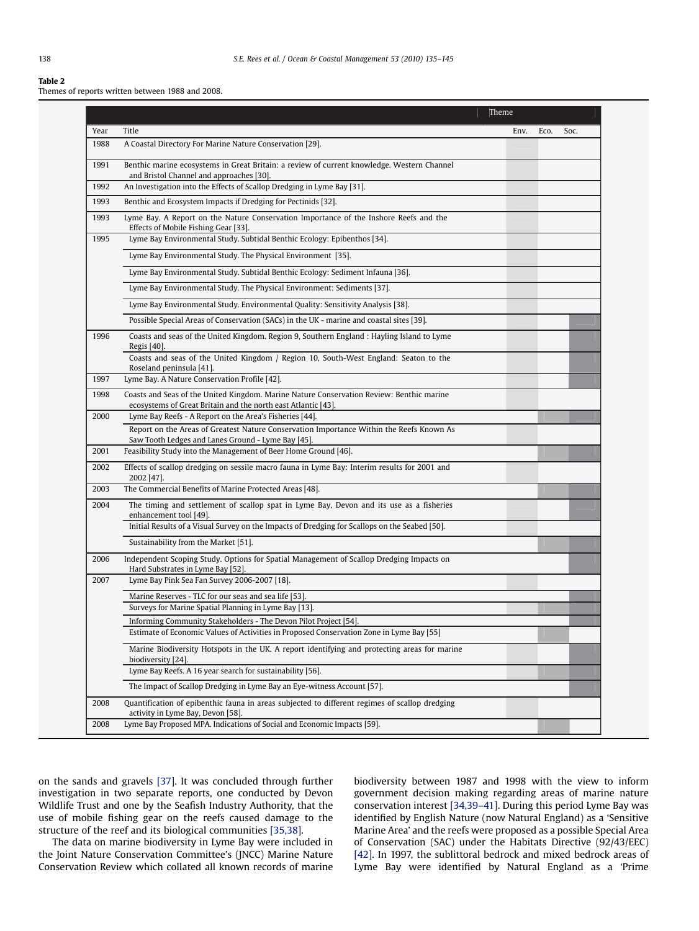#### <span id="page-3-0"></span>Table 2

Themes of reports written between 1988 and 2008.

|      |                                                                                                                                                           | Theme |      |      |
|------|-----------------------------------------------------------------------------------------------------------------------------------------------------------|-------|------|------|
| Year | Title                                                                                                                                                     | Env.  | Eco. | Soc. |
| 1988 | A Coastal Directory For Marine Nature Conservation [29].                                                                                                  |       |      |      |
| 1991 | Benthic marine ecosystems in Great Britain: a review of current knowledge. Western Channel<br>and Bristol Channel and approaches [30].                    |       |      |      |
| 1992 | An Investigation into the Effects of Scallop Dredging in Lyme Bay [31].                                                                                   |       |      |      |
| 1993 | Benthic and Ecosystem Impacts if Dredging for Pectinids [32].                                                                                             |       |      |      |
| 1993 | Lyme Bay. A Report on the Nature Conservation Importance of the Inshore Reefs and the<br>Effects of Mobile Fishing Gear [33].                             |       |      |      |
| 1995 | Lyme Bay Environmental Study. Subtidal Benthic Ecology: Epibenthos [34].                                                                                  |       |      |      |
|      | Lyme Bay Environmental Study. The Physical Environment [35].                                                                                              |       |      |      |
|      | Lyme Bay Environmental Study. Subtidal Benthic Ecology: Sediment Infauna [36].                                                                            |       |      |      |
|      | Lyme Bay Environmental Study. The Physical Environment: Sediments [37].                                                                                   |       |      |      |
|      | Lyme Bay Environmental Study. Environmental Quality: Sensitivity Analysis [38].                                                                           |       |      |      |
|      | Possible Special Areas of Conservation (SACs) in the UK - marine and coastal sites [39].                                                                  |       |      |      |
| 1996 | Coasts and seas of the United Kingdom, Region 9, Southern England : Hayling Island to Lyme<br>Regis [40].                                                 |       |      |      |
|      | Coasts and seas of the United Kingdom / Region 10, South-West England: Seaton to the<br>Roseland peninsula [41].                                          |       |      |      |
| 1997 | Lyme Bay. A Nature Conservation Profile [42].                                                                                                             |       |      |      |
| 1998 | Coasts and Seas of the United Kingdom. Marine Nature Conservation Review: Benthic marine<br>ecosystems of Great Britain and the north east Atlantic [43]. |       |      |      |
| 2000 | Lyme Bay Reefs - A Report on the Area's Fisheries [44].                                                                                                   |       |      |      |
|      | Report on the Areas of Greatest Nature Conservation Importance Within the Reefs Known As<br>Saw Tooth Ledges and Lanes Ground - Lyme Bay [45].            |       |      |      |
| 2001 | Feasibility Study into the Management of Beer Home Ground [46].                                                                                           |       |      |      |
| 2002 | Effects of scallop dredging on sessile macro fauna in Lyme Bay: Interim results for 2001 and<br>2002 [47].                                                |       |      |      |
| 2003 | The Commercial Benefits of Marine Protected Areas [48].                                                                                                   |       |      |      |
| 2004 | The timing and settlement of scallop spat in Lyme Bay, Devon and its use as a fisheries<br>enhancement tool [49].                                         |       |      |      |
|      | Initial Results of a Visual Survey on the Impacts of Dredging for Scallops on the Seabed [50].                                                            |       |      |      |
|      | Sustainability from the Market [51].                                                                                                                      |       |      |      |
| 2006 | Independent Scoping Study. Options for Spatial Management of Scallop Dredging Impacts on<br>Hard Substrates in Lyme Bay [52].                             |       |      |      |
| 2007 | Lyme Bay Pink Sea Fan Survey 2006-2007 [18].                                                                                                              |       |      |      |
|      | Marine Reserves - TLC for our seas and sea life [53].                                                                                                     |       |      |      |
|      | Surveys for Marine Spatial Planning in Lyme Bay [13].                                                                                                     |       |      |      |
|      | Informing Community Stakeholders - The Devon Pilot Project [54].                                                                                          |       |      |      |
|      | Estimate of Economic Values of Activities in Proposed Conservation Zone in Lyme Bay [55]                                                                  |       |      |      |
|      | Marine Biodiversity Hotspots in the UK. A report identifying and protecting areas for marine<br>biodiversity [24].                                        |       |      |      |
|      | Lyme Bay Reefs. A 16 year search for sustainability [56].                                                                                                 |       |      |      |
|      | The Impact of Scallop Dredging in Lyme Bay an Eye-witness Account [57].                                                                                   |       |      |      |
| 2008 | Quantification of epibenthic fauna in areas subjected to different regimes of scallop dredging<br>activity in Lyme Bay, Devon [58].                       |       |      |      |
| 2008 | Lyme Bay Proposed MPA, Indications of Social and Economic Impacts [59].                                                                                   |       |      |      |

on the sands and gravels [\[37\].](#page-10-0) It was concluded through further investigation in two separate reports, one conducted by Devon Wildlife Trust and one by the Seafish Industry Authority, that the use of mobile fishing gear on the reefs caused damage to the structure of the reef and its biological communities [\[35,38\].](#page-10-0)

The data on marine biodiversity in Lyme Bay were included in the Joint Nature Conservation Committee's (JNCC) Marine Nature Conservation Review which collated all known records of marine biodiversity between 1987 and 1998 with the view to inform government decision making regarding areas of marine nature conservation interest [\[34,39–41\]](#page-10-0). During this period Lyme Bay was identified by English Nature (now Natural England) as a 'Sensitive Marine Area' and the reefs were proposed as a possible Special Area of Conservation (SAC) under the Habitats Directive (92/43/EEC) [\[42\]](#page-10-0). In 1997, the sublittoral bedrock and mixed bedrock areas of Lyme Bay were identified by Natural England as a 'Prime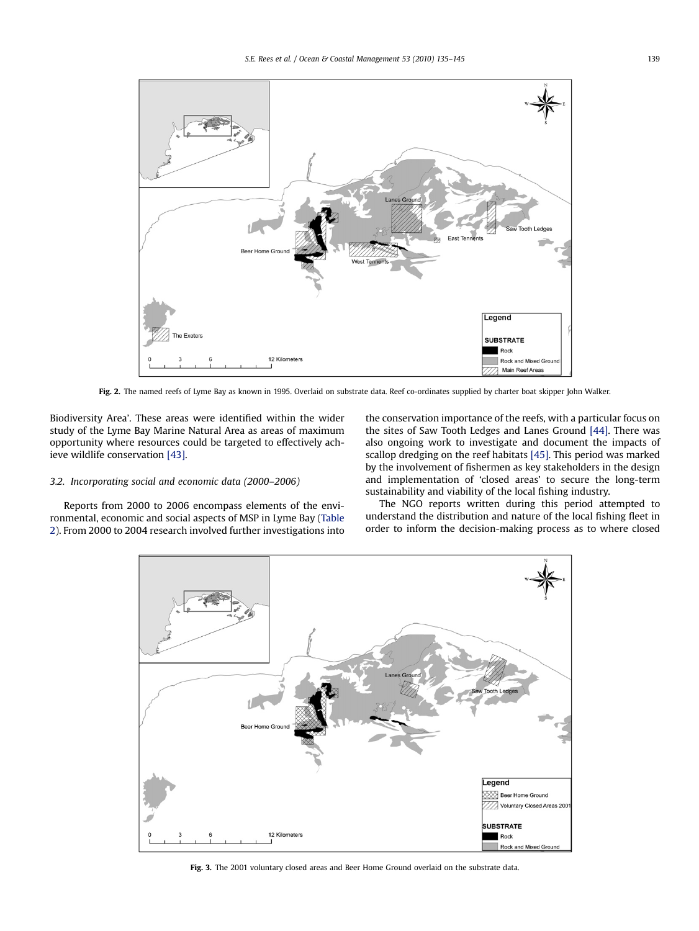<span id="page-4-0"></span>

Fig. 2. The named reefs of Lyme Bay as known in 1995. Overlaid on substrate data. Reef co-ordinates supplied by charter boat skipper John Walker.

Biodiversity Area'. These areas were identified within the wider study of the Lyme Bay Marine Natural Area as areas of maximum opportunity where resources could be targeted to effectively achieve wildlife conservation [\[43\].](#page-10-0)

# 3.2. Incorporating social and economic data (2000–2006)

Reports from 2000 to 2006 encompass elements of the environmental, economic and social aspects of MSP in Lyme Bay ([Table](#page-3-0) [2](#page-3-0)). From 2000 to 2004 research involved further investigations into the conservation importance of the reefs, with a particular focus on the sites of Saw Tooth Ledges and Lanes Ground [\[44\]](#page-10-0). There was also ongoing work to investigate and document the impacts of scallop dredging on the reef habitats [\[45\].](#page-10-0) This period was marked by the involvement of fishermen as key stakeholders in the design and implementation of 'closed areas' to secure the long-term sustainability and viability of the local fishing industry.

The NGO reports written during this period attempted to understand the distribution and nature of the local fishing fleet in order to inform the decision-making process as to where closed



Fig. 3. The 2001 voluntary closed areas and Beer Home Ground overlaid on the substrate data.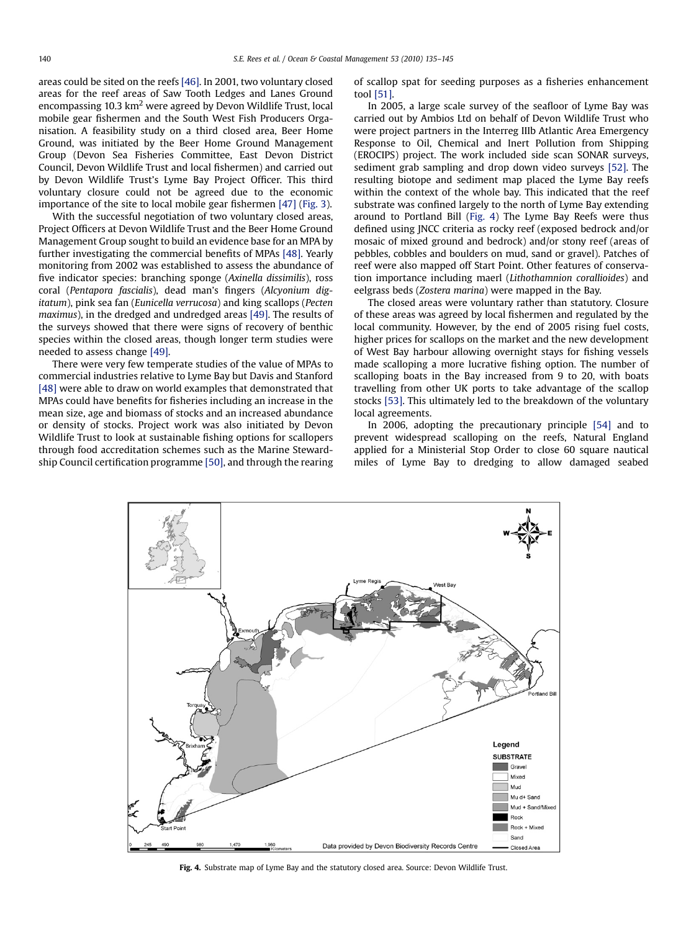areas could be sited on the reefs [\[46\].](#page-10-0) In 2001, two voluntary closed areas for the reef areas of Saw Tooth Ledges and Lanes Ground encompassing 10.3  $km^2$  were agreed by Devon Wildlife Trust, local mobile gear fishermen and the South West Fish Producers Organisation. A feasibility study on a third closed area, Beer Home Ground, was initiated by the Beer Home Ground Management Group (Devon Sea Fisheries Committee, East Devon District Council, Devon Wildlife Trust and local fishermen) and carried out by Devon Wildlife Trust's Lyme Bay Project Officer. This third voluntary closure could not be agreed due to the economic importance of the site to local mobile gear fishermen [\[47\]](#page-10-0) ([Fig. 3](#page-4-0)).

With the successful negotiation of two voluntary closed areas, Project Officers at Devon Wildlife Trust and the Beer Home Ground Management Group sought to build an evidence base for an MPA by further investigating the commercial benefits of MPAs [\[48\]](#page-10-0). Yearly monitoring from 2002 was established to assess the abundance of five indicator species: branching sponge (Axinella dissimilis), ross coral (Pentapora fascialis), dead man's fingers (Alcyonium digitatum), pink sea fan (Eunicella verrucosa) and king scallops (Pecten maximus), in the dredged and undredged areas [\[49\]](#page-10-0). The results of the surveys showed that there were signs of recovery of benthic species within the closed areas, though longer term studies were needed to assess change [\[49\]](#page-10-0).

There were very few temperate studies of the value of MPAs to commercial industries relative to Lyme Bay but Davis and Stanford [\[48\]](#page-10-0) were able to draw on world examples that demonstrated that MPAs could have benefits for fisheries including an increase in the mean size, age and biomass of stocks and an increased abundance or density of stocks. Project work was also initiated by Devon Wildlife Trust to look at sustainable fishing options for scallopers through food accreditation schemes such as the Marine Stewardship Council certification programme [\[50\]](#page-10-0), and through the rearing of scallop spat for seeding purposes as a fisheries enhancement tool [\[51\]](#page-10-0).

In 2005, a large scale survey of the seafloor of Lyme Bay was carried out by Ambios Ltd on behalf of Devon Wildlife Trust who were project partners in the Interreg IIIb Atlantic Area Emergency Response to Oil, Chemical and Inert Pollution from Shipping (EROCIPS) project. The work included side scan SONAR surveys, sediment grab sampling and drop down video surveys [\[52\].](#page-10-0) The resulting biotope and sediment map placed the Lyme Bay reefs within the context of the whole bay. This indicated that the reef substrate was confined largely to the north of Lyme Bay extending around to Portland Bill (Fig. 4) The Lyme Bay Reefs were thus defined using JNCC criteria as rocky reef (exposed bedrock and/or mosaic of mixed ground and bedrock) and/or stony reef (areas of pebbles, cobbles and boulders on mud, sand or gravel). Patches of reef were also mapped off Start Point. Other features of conservation importance including maerl (Lithothamnion corallioides) and eelgrass beds (Zostera marina) were mapped in the Bay.

The closed areas were voluntary rather than statutory. Closure of these areas was agreed by local fishermen and regulated by the local community. However, by the end of 2005 rising fuel costs, higher prices for scallops on the market and the new development of West Bay harbour allowing overnight stays for fishing vessels made scalloping a more lucrative fishing option. The number of scalloping boats in the Bay increased from 9 to 20, with boats travelling from other UK ports to take advantage of the scallop stocks [\[53\]](#page-10-0). This ultimately led to the breakdown of the voluntary local agreements.

In 2006, adopting the precautionary principle [\[54\]](#page-10-0) and to prevent widespread scalloping on the reefs, Natural England applied for a Ministerial Stop Order to close 60 square nautical miles of Lyme Bay to dredging to allow damaged seabed



Fig. 4. Substrate map of Lyme Bay and the statutory closed area. Source: Devon Wildlife Trust.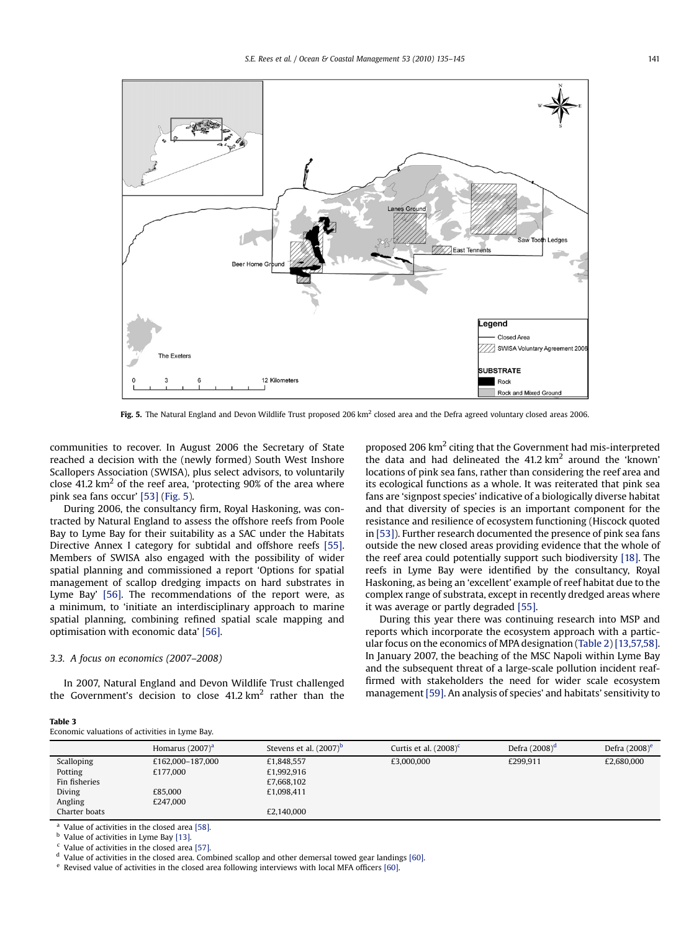<span id="page-6-0"></span>

Fig. 5. The Natural England and Devon Wildlife Trust proposed 206 km<sup>2</sup> closed area and the Defra agreed voluntary closed areas 2006.

communities to recover. In August 2006 the Secretary of State reached a decision with the (newly formed) South West Inshore Scallopers Association (SWISA), plus select advisors, to voluntarily close 41.2  $km^2$  of the reef area, 'protecting 90% of the area where pink sea fans occur' [\[53\]](#page-10-0) (Fig. 5).

During 2006, the consultancy firm, Royal Haskoning, was contracted by Natural England to assess the offshore reefs from Poole Bay to Lyme Bay for their suitability as a SAC under the Habitats Directive Annex I category for subtidal and offshore reefs [\[55\].](#page-10-0) Members of SWISA also engaged with the possibility of wider spatial planning and commissioned a report 'Options for spatial management of scallop dredging impacts on hard substrates in Lyme Bay' [\[56\]](#page-10-0). The recommendations of the report were, as a minimum, to 'initiate an interdisciplinary approach to marine spatial planning, combining refined spatial scale mapping and optimisation with economic data' [\[56\].](#page-10-0)

# 3.3. A focus on economics (2007–2008)

In 2007, Natural England and Devon Wildlife Trust challenged the Government's decision to close  $41.2 \text{ km}^2$  rather than the

| Table 3                                        |  |  |
|------------------------------------------------|--|--|
| Economic valuations of activities in Lyme Bay. |  |  |

proposed 206 km<sup>2</sup> citing that the Government had mis-interpreted the data and had delineated the  $41.2 \text{ km}^2$  around the 'known' locations of pink sea fans, rather than considering the reef area and its ecological functions as a whole. It was reiterated that pink sea fans are 'signpost species' indicative of a biologically diverse habitat and that diversity of species is an important component for the resistance and resilience of ecosystem functioning (Hiscock quoted in [\[53\]](#page-10-0)). Further research documented the presence of pink sea fans outside the new closed areas providing evidence that the whole of the reef area could potentially support such biodiversity [\[18\]](#page-9-0). The reefs in Lyme Bay were identified by the consultancy, Royal Haskoning, as being an 'excellent' example of reef habitat due to the complex range of substrata, except in recently dredged areas where it was average or partly degraded [\[55\].](#page-10-0)

During this year there was continuing research into MSP and reports which incorporate the ecosystem approach with a particular focus on the economics of MPA designation [\(Table 2](#page-3-0)) [\[13,57,58\].](#page-9-0) In January 2007, the beaching of the MSC Napoli within Lyme Bay and the subsequent threat of a large-scale pollution incident reaffirmed with stakeholders the need for wider scale ecosystem management [\[59\]](#page-10-0). An analysis of species' and habitats' sensitivity to

|               | Homarus $(2007)^a$ | Stevens et al. (2007) <sup>b</sup> | Curtis et al. $(2008)^c$ | Defra $(2008)^d$ | Defra $(2008)^e$ |
|---------------|--------------------|------------------------------------|--------------------------|------------------|------------------|
| Scalloping    | £162,000-187,000   | £1,848,557                         | £3,000,000               | £299,911         | £2,680,000       |
| Potting       | £177,000           | £1,992,916                         |                          |                  |                  |
| Fin fisheries |                    | £7,668,102                         |                          |                  |                  |
| Diving        | £85,000            | £1,098,411                         |                          |                  |                  |
| Angling       | £247,000           |                                    |                          |                  |                  |
| Charter boats |                    | £2,140,000                         |                          |                  |                  |

<sup>a</sup> Value of activities in the closed area [\[58\]](#page-10-0).

Value of activities in Lyme Bay [\[13\].](#page-9-0)

<sup>c</sup> Value of activities in the closed area [\[57\]](#page-10-0).

Value of activities in the closed area. Combined scallop and other demersal towed gear landings [\[60\]](#page-10-0).

Revised value of activities in the closed area following interviews with local MFA officers [\[60\].](#page-10-0)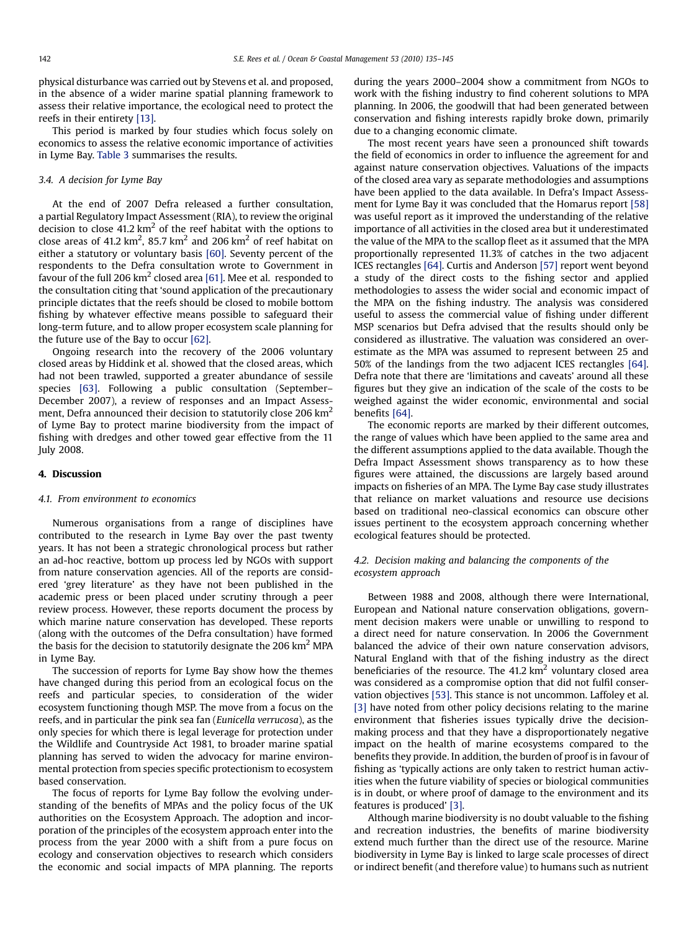physical disturbance was carried out by Stevens et al. and proposed, in the absence of a wider marine spatial planning framework to assess their relative importance, the ecological need to protect the reefs in their entirety [\[13\]](#page-9-0).

This period is marked by four studies which focus solely on economics to assess the relative economic importance of activities in Lyme Bay. [Table 3](#page-6-0) summarises the results.

## 3.4. A decision for Lyme Bay

At the end of 2007 Defra released a further consultation, a partial Regulatory Impact Assessment (RIA), to review the original decision to close  $41.2 \text{ km}^2$  of the reef habitat with the options to close areas of 41.2 km<sup>2</sup>, 85.7 km<sup>2</sup> and 206 km<sup>2</sup> of reef habitat on either a statutory or voluntary basis [\[60\]](#page-10-0). Seventy percent of the respondents to the Defra consultation wrote to Government in favour of the full 206  $km^2$  closed area [\[61\]](#page-10-0). Mee et al. responded to the consultation citing that 'sound application of the precautionary principle dictates that the reefs should be closed to mobile bottom fishing by whatever effective means possible to safeguard their long-term future, and to allow proper ecosystem scale planning for the future use of the Bay to occur [\[62\].](#page-10-0)

Ongoing research into the recovery of the 2006 voluntary closed areas by Hiddink et al. showed that the closed areas, which had not been trawled, supported a greater abundance of sessile species [\[63\]](#page-10-0). Following a public consultation (September– December 2007), a review of responses and an Impact Assessment, Defra announced their decision to statutorily close 206  $km<sup>2</sup>$ of Lyme Bay to protect marine biodiversity from the impact of fishing with dredges and other towed gear effective from the 11 July 2008.

## 4. Discussion

#### 4.1. From environment to economics

Numerous organisations from a range of disciplines have contributed to the research in Lyme Bay over the past twenty years. It has not been a strategic chronological process but rather an ad-hoc reactive, bottom up process led by NGOs with support from nature conservation agencies. All of the reports are considered 'grey literature' as they have not been published in the academic press or been placed under scrutiny through a peer review process. However, these reports document the process by which marine nature conservation has developed. These reports (along with the outcomes of the Defra consultation) have formed the basis for the decision to statutorily designate the 206  $km<sup>2</sup>$  MPA in Lyme Bay.

The succession of reports for Lyme Bay show how the themes have changed during this period from an ecological focus on the reefs and particular species, to consideration of the wider ecosystem functioning though MSP. The move from a focus on the reefs, and in particular the pink sea fan (Eunicella verrucosa), as the only species for which there is legal leverage for protection under the Wildlife and Countryside Act 1981, to broader marine spatial planning has served to widen the advocacy for marine environmental protection from species specific protectionism to ecosystem based conservation.

The focus of reports for Lyme Bay follow the evolving understanding of the benefits of MPAs and the policy focus of the UK authorities on the Ecosystem Approach. The adoption and incorporation of the principles of the ecosystem approach enter into the process from the year 2000 with a shift from a pure focus on ecology and conservation objectives to research which considers the economic and social impacts of MPA planning. The reports during the years 2000–2004 show a commitment from NGOs to work with the fishing industry to find coherent solutions to MPA planning. In 2006, the goodwill that had been generated between conservation and fishing interests rapidly broke down, primarily due to a changing economic climate.

The most recent years have seen a pronounced shift towards the field of economics in order to influence the agreement for and against nature conservation objectives. Valuations of the impacts of the closed area vary as separate methodologies and assumptions have been applied to the data available. In Defra's Impact Assessment for Lyme Bay it was concluded that the Homarus report [\[58\]](#page-10-0) was useful report as it improved the understanding of the relative importance of all activities in the closed area but it underestimated the value of the MPA to the scallop fleet as it assumed that the MPA proportionally represented 11.3% of catches in the two adjacent ICES rectangles [\[64\].](#page-10-0) Curtis and Anderson [\[57\]](#page-10-0) report went beyond a study of the direct costs to the fishing sector and applied methodologies to assess the wider social and economic impact of the MPA on the fishing industry. The analysis was considered useful to assess the commercial value of fishing under different MSP scenarios but Defra advised that the results should only be considered as illustrative. The valuation was considered an overestimate as the MPA was assumed to represent between 25 and 50% of the landings from the two adjacent ICES rectangles [\[64\].](#page-10-0) Defra note that there are 'limitations and caveats' around all these figures but they give an indication of the scale of the costs to be weighed against the wider economic, environmental and social benefits [\[64\]](#page-10-0).

The economic reports are marked by their different outcomes, the range of values which have been applied to the same area and the different assumptions applied to the data available. Though the Defra Impact Assessment shows transparency as to how these figures were attained, the discussions are largely based around impacts on fisheries of an MPA. The Lyme Bay case study illustrates that reliance on market valuations and resource use decisions based on traditional neo-classical economics can obscure other issues pertinent to the ecosystem approach concerning whether ecological features should be protected.

# 4.2. Decision making and balancing the components of the ecosystem approach

Between 1988 and 2008, although there were International, European and National nature conservation obligations, government decision makers were unable or unwilling to respond to a direct need for nature conservation. In 2006 the Government balanced the advice of their own nature conservation advisors, Natural England with that of the fishing industry as the direct beneficiaries of the resource. The  $41.2 \text{ km}^2$  voluntary closed area was considered as a compromise option that did not fulfil conservation objectives [\[53\]](#page-10-0). This stance is not uncommon. Laffoley et al. [\[3\]](#page-9-0) have noted from other policy decisions relating to the marine environment that fisheries issues typically drive the decisionmaking process and that they have a disproportionately negative impact on the health of marine ecosystems compared to the benefits they provide. In addition, the burden of proof is in favour of fishing as 'typically actions are only taken to restrict human activities when the future viability of species or biological communities is in doubt, or where proof of damage to the environment and its features is produced' [\[3\].](#page-9-0)

Although marine biodiversity is no doubt valuable to the fishing and recreation industries, the benefits of marine biodiversity extend much further than the direct use of the resource. Marine biodiversity in Lyme Bay is linked to large scale processes of direct or indirect benefit (and therefore value) to humans such as nutrient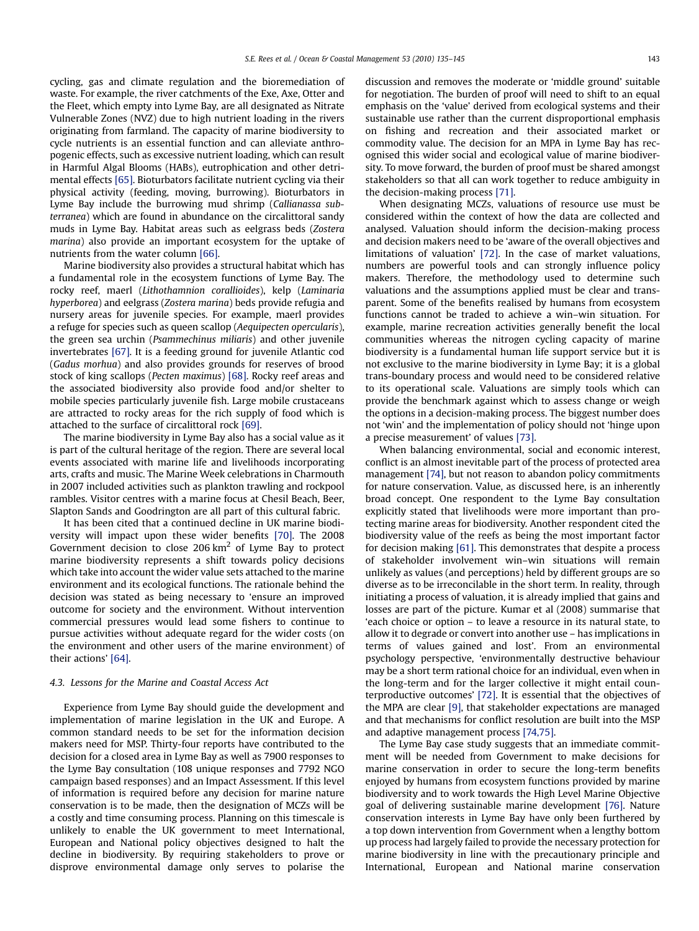cycling, gas and climate regulation and the bioremediation of waste. For example, the river catchments of the Exe, Axe, Otter and the Fleet, which empty into Lyme Bay, are all designated as Nitrate Vulnerable Zones (NVZ) due to high nutrient loading in the rivers originating from farmland. The capacity of marine biodiversity to cycle nutrients is an essential function and can alleviate anthropogenic effects, such as excessive nutrient loading, which can result in Harmful Algal Blooms (HABs), eutrophication and other detrimental effects [\[65\]](#page-10-0). Bioturbators facilitate nutrient cycling via their physical activity (feeding, moving, burrowing). Bioturbators in Lyme Bay include the burrowing mud shrimp (Callianassa subterranea) which are found in abundance on the circalittoral sandy muds in Lyme Bay. Habitat areas such as eelgrass beds (Zostera marina) also provide an important ecosystem for the uptake of nutrients from the water column [\[66\].](#page-10-0)

Marine biodiversity also provides a structural habitat which has a fundamental role in the ecosystem functions of Lyme Bay. The rocky reef, maerl (Lithothamnion corallioides), kelp (Laminaria hyperborea) and eelgrass (Zostera marina) beds provide refugia and nursery areas for juvenile species. For example, maerl provides a refuge for species such as queen scallop (Aequipecten opercularis), the green sea urchin (Psammechinus miliaris) and other juvenile invertebrates [\[67\]](#page-10-0). It is a feeding ground for juvenile Atlantic cod (Gadus morhua) and also provides grounds for reserves of brood stock of king scallops (Pecten maximus) [\[68\].](#page-10-0) Rocky reef areas and the associated biodiversity also provide food and/or shelter to mobile species particularly juvenile fish. Large mobile crustaceans are attracted to rocky areas for the rich supply of food which is attached to the surface of circalittoral rock [\[69\]](#page-10-0).

The marine biodiversity in Lyme Bay also has a social value as it is part of the cultural heritage of the region. There are several local events associated with marine life and livelihoods incorporating arts, crafts and music. The Marine Week celebrations in Charmouth in 2007 included activities such as plankton trawling and rockpool rambles. Visitor centres with a marine focus at Chesil Beach, Beer, Slapton Sands and Goodrington are all part of this cultural fabric.

It has been cited that a continued decline in UK marine biodiversity will impact upon these wider benefits [\[70\]](#page-10-0). The 2008 Government decision to close 206  $km^2$  of Lyme Bay to protect marine biodiversity represents a shift towards policy decisions which take into account the wider value sets attached to the marine environment and its ecological functions. The rationale behind the decision was stated as being necessary to 'ensure an improved outcome for society and the environment. Without intervention commercial pressures would lead some fishers to continue to pursue activities without adequate regard for the wider costs (on the environment and other users of the marine environment) of their actions' [\[64\].](#page-10-0)

## 4.3. Lessons for the Marine and Coastal Access Act

Experience from Lyme Bay should guide the development and implementation of marine legislation in the UK and Europe. A common standard needs to be set for the information decision makers need for MSP. Thirty-four reports have contributed to the decision for a closed area in Lyme Bay as well as 7900 responses to the Lyme Bay consultation (108 unique responses and 7792 NGO campaign based responses) and an Impact Assessment. If this level of information is required before any decision for marine nature conservation is to be made, then the designation of MCZs will be a costly and time consuming process. Planning on this timescale is unlikely to enable the UK government to meet International, European and National policy objectives designed to halt the decline in biodiversity. By requiring stakeholders to prove or disprove environmental damage only serves to polarise the discussion and removes the moderate or 'middle ground' suitable for negotiation. The burden of proof will need to shift to an equal emphasis on the 'value' derived from ecological systems and their sustainable use rather than the current disproportional emphasis on fishing and recreation and their associated market or commodity value. The decision for an MPA in Lyme Bay has recognised this wider social and ecological value of marine biodiversity. To move forward, the burden of proof must be shared amongst stakeholders so that all can work together to reduce ambiguity in the decision-making process [\[71\]](#page-10-0).

When designating MCZs, valuations of resource use must be considered within the context of how the data are collected and analysed. Valuation should inform the decision-making process and decision makers need to be 'aware of the overall objectives and limitations of valuation' [\[72\].](#page-10-0) In the case of market valuations, numbers are powerful tools and can strongly influence policy makers. Therefore, the methodology used to determine such valuations and the assumptions applied must be clear and transparent. Some of the benefits realised by humans from ecosystem functions cannot be traded to achieve a win–win situation. For example, marine recreation activities generally benefit the local communities whereas the nitrogen cycling capacity of marine biodiversity is a fundamental human life support service but it is not exclusive to the marine biodiversity in Lyme Bay; it is a global trans-boundary process and would need to be considered relative to its operational scale. Valuations are simply tools which can provide the benchmark against which to assess change or weigh the options in a decision-making process. The biggest number does not 'win' and the implementation of policy should not 'hinge upon a precise measurement' of values [\[73\]](#page-10-0).

When balancing environmental, social and economic interest, conflict is an almost inevitable part of the process of protected area management [\[74\]](#page-10-0), but not reason to abandon policy commitments for nature conservation. Value, as discussed here, is an inherently broad concept. One respondent to the Lyme Bay consultation explicitly stated that livelihoods were more important than protecting marine areas for biodiversity. Another respondent cited the biodiversity value of the reefs as being the most important factor for decision making [\[61\].](#page-10-0) This demonstrates that despite a process of stakeholder involvement win–win situations will remain unlikely as values (and perceptions) held by different groups are so diverse as to be irreconcilable in the short term. In reality, through initiating a process of valuation, it is already implied that gains and losses are part of the picture. Kumar et al (2008) summarise that 'each choice or option – to leave a resource in its natural state, to allow it to degrade or convert into another use – has implications in terms of values gained and lost'. From an environmental psychology perspective, 'environmentally destructive behaviour may be a short term rational choice for an individual, even when in the long-term and for the larger collective it might entail counterproductive outcomes' [\[72\]](#page-10-0). It is essential that the objectives of the MPA are clear [\[9\],](#page-9-0) that stakeholder expectations are managed and that mechanisms for conflict resolution are built into the MSP and adaptive management process [\[74,75\].](#page-10-0)

The Lyme Bay case study suggests that an immediate commitment will be needed from Government to make decisions for marine conservation in order to secure the long-term benefits enjoyed by humans from ecosystem functions provided by marine biodiversity and to work towards the High Level Marine Objective goal of delivering sustainable marine development [\[76\].](#page-10-0) Nature conservation interests in Lyme Bay have only been furthered by a top down intervention from Government when a lengthy bottom up process had largely failed to provide the necessary protection for marine biodiversity in line with the precautionary principle and International, European and National marine conservation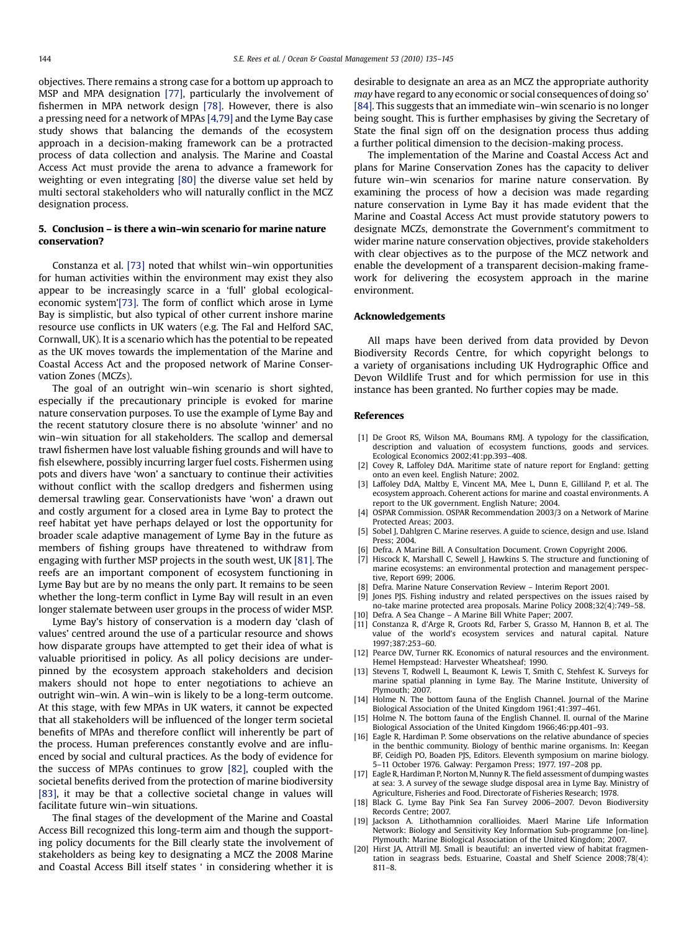<span id="page-9-0"></span>objectives. There remains a strong case for a bottom up approach to MSP and MPA designation [\[77\],](#page-10-0) particularly the involvement of fishermen in MPA network design [\[78\].](#page-10-0) However, there is also a pressing need for a network of MPAs [4,79] and the Lyme Bay case study shows that balancing the demands of the ecosystem approach in a decision-making framework can be a protracted process of data collection and analysis. The Marine and Coastal Access Act must provide the arena to advance a framework for weighting or even integrating [\[80\]](#page-10-0) the diverse value set held by multi sectoral stakeholders who will naturally conflict in the MCZ designation process.

# 5. Conclusion – is there a win–win scenario for marine nature conservation?

Constanza et al. [\[73\]](#page-10-0) noted that whilst win–win opportunities for human activities within the environment may exist they also appear to be increasingly scarce in a 'full' global ecologicaleconomic system['\[73\]](#page-10-0). The form of conflict which arose in Lyme Bay is simplistic, but also typical of other current inshore marine resource use conflicts in UK waters (e.g. The Fal and Helford SAC, Cornwall, UK). It is a scenario which has the potential to be repeated as the UK moves towards the implementation of the Marine and Coastal Access Act and the proposed network of Marine Conservation Zones (MCZs).

The goal of an outright win–win scenario is short sighted, especially if the precautionary principle is evoked for marine nature conservation purposes. To use the example of Lyme Bay and the recent statutory closure there is no absolute 'winner' and no win–win situation for all stakeholders. The scallop and demersal trawl fishermen have lost valuable fishing grounds and will have to fish elsewhere, possibly incurring larger fuel costs. Fishermen using pots and divers have 'won' a sanctuary to continue their activities without conflict with the scallop dredgers and fishermen using demersal trawling gear. Conservationists have 'won' a drawn out and costly argument for a closed area in Lyme Bay to protect the reef habitat yet have perhaps delayed or lost the opportunity for broader scale adaptive management of Lyme Bay in the future as members of fishing groups have threatened to withdraw from engaging with further MSP projects in the south west, UK [\[81\]](#page-10-0). The reefs are an important component of ecosystem functioning in Lyme Bay but are by no means the only part. It remains to be seen whether the long-term conflict in Lyme Bay will result in an even longer stalemate between user groups in the process of wider MSP.

Lyme Bay's history of conservation is a modern day 'clash of values' centred around the use of a particular resource and shows how disparate groups have attempted to get their idea of what is valuable prioritised in policy. As all policy decisions are underpinned by the ecosystem approach stakeholders and decision makers should not hope to enter negotiations to achieve an outright win–win. A win–win is likely to be a long-term outcome. At this stage, with few MPAs in UK waters, it cannot be expected that all stakeholders will be influenced of the longer term societal benefits of MPAs and therefore conflict will inherently be part of the process. Human preferences constantly evolve and are influenced by social and cultural practices. As the body of evidence for the success of MPAs continues to grow [\[82\],](#page-10-0) coupled with the societal benefits derived from the protection of marine biodiversity [\[83\]](#page-10-0), it may be that a collective societal change in values will facilitate future win–win situations.

The final stages of the development of the Marine and Coastal Access Bill recognized this long-term aim and though the supporting policy documents for the Bill clearly state the involvement of stakeholders as being key to designating a MCZ the 2008 Marine and Coastal Access Bill itself states ' in considering whether it is desirable to designate an area as an MCZ the appropriate authority may have regard to any economic or social consequences of doing so' [\[84\]](#page-10-0). This suggests that an immediate win–win scenario is no longer being sought. This is further emphasises by giving the Secretary of State the final sign off on the designation process thus adding a further political dimension to the decision-making process.

The implementation of the Marine and Coastal Access Act and plans for Marine Conservation Zones has the capacity to deliver future win–win scenarios for marine nature conservation. By examining the process of how a decision was made regarding nature conservation in Lyme Bay it has made evident that the Marine and Coastal Access Act must provide statutory powers to designate MCZs, demonstrate the Government's commitment to wider marine nature conservation objectives, provide stakeholders with clear objectives as to the purpose of the MCZ network and enable the development of a transparent decision-making framework for delivering the ecosystem approach in the marine environment.

## Acknowledgements

All maps have been derived from data provided by Devon Biodiversity Records Centre, for which copyright belongs to a variety of organisations including UK Hydrographic Office and Devon Wildlife Trust and for which permission for use in this instance has been granted. No further copies may be made.

## References

- [1] De Groot RS, Wilson MA, Boumans RMJ. A typology for the classification, description and valuation of ecosystem functions, goods and services. Ecological Economics 2002;41:pp.393–408.
- [2] Covey R, Laffoley DdA. Maritime state of nature report for England: getting onto an even keel. English Nature; 2002.
- [3] Laffoley DdA, Maltby E, Vincent MA, Mee L, Dunn E, Gilliland P, et al. The ecosystem approach. Coherent actions for marine and coastal environments. A report to the UK government. English Nature; 2004.
- [4] OSPAR Commission. OSPAR Recommendation 2003/3 on a Network of Marine Protected Areas; 2003.
- [5] Sobel J, Dahlgren C. Marine reserves. A guide to science, design and use. Island Press; 2004.
- Defra. A Marine Bill. A Consultation Document. Crown Copyright 2006.
- Hiscock K, Marshall C, Sewell J, Hawkins S. The structure and functioning of marine ecosystems: an environmental protection and management perspective, Report 699; 2006.
- [8] Defra. Marine Nature Conservation Review Interim Report 2001.
- [9] Jones PJS. Fishing industry and related perspectives on the issues raised by no-take marine protected area proposals. Marine Policy 2008;32(4):749–58. [10] Defra. A Sea Change – A Marine Bill White Paper; 2007.
- [11] Constanza R, d'Arge R, Groots Rd, Farber S, Grasso M, Hannon B, et al. The
- value of the world's ecosystem services and natural capital. Nature 1997;387:253–60.
- [12] Pearce DW, Turner RK. Economics of natural resources and the environment. Hemel Hempstead: Harvester Wheatsheaf; 1990.
- [13] Stevens T, Rodwell L, Beaumont K, Lewis T, Smith C, Stehfest K. Surveys for marine spatial planning in Lyme Bay. The Marine Institute, University of Plymouth; 2007.
- [14] Holme N. The bottom fauna of the English Channel. Journal of the Marine Biological Association of the United Kingdom 1961;41:397–461.
- [15] Holme N. The bottom fauna of the English Channel. II. ournal of the Marine Biological Association of the United Kingdom 1966;46:pp.401–93.
- [16] Eagle R, Hardiman P. Some observations on the relative abundance of species in the benthic community. Biology of benthic marine organisms. In: Keegan BF, Ceidigh PO, Boaden PJS, Editors. Eleventh symposium on marine biology. 5–11 October 1976. Galway: Pergamon Press; 1977. 197–208 pp.
- [17] Eagle R, Hardiman P, Norton M, Nunny R. The field assessment of dumping wastes at sea: 3. A survey of the sewage sludge disposal area in Lyme Bay. Ministry of Agriculture, Fisheries and Food. Directorate of Fisheries Research; 1978.
- [18] Black G. Lyme Bay Pink Sea Fan Survey 2006-2007. Devon Biodiversity Records Centre; 2007.
- [19] Jackson A. Lithothamnion corallioides. Maerl Marine Life Information Network: Biology and Sensitivity Key Information Sub-programme [on-line]. Plymouth: Marine Biological Association of the United Kingdom; 2007.
- [20] Hirst JA, Attrill MJ. Small is beautiful: an inverted view of habitat fragmentation in seagrass beds. Estuarine, Coastal and Shelf Science 2008;78(4): 811–8.